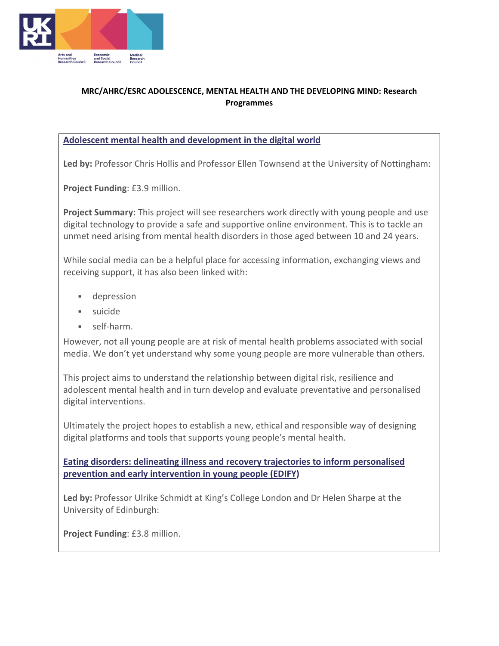

## **MRC/AHRC/ESRC ADOLESCENCE, MENTAL HEALTH AND THE DEVELOPING MIND: Research Programmes**

## **Adolescent mental health and development in the digital world**

**Led by:** Professor Chris Hollis and Professor Ellen Townsend at the University of Nottingham:

**Project Funding**: £3.9 million.

**Project Summary:** This project will see researchers work directly with young people and use digital technology to provide a safe and supportive online environment. This is to tackle an unmet need arising from mental health disorders in those aged between 10 and 24 years.

While social media can be a helpful place for accessing information, exchanging views and receiving support, it has also been linked with:

- depression
- suicide
- self-harm.

However, not all young people are at risk of mental health problems associated with social media. We don't yet understand why some young people are more vulnerable than others.

This project aims to understand the relationship between digital risk, resilience and adolescent mental health and in turn develop and evaluate preventative and personalised digital interventions.

Ultimately the project hopes to establish a new, ethical and responsible way of designing digital platforms and tools that supports young people's mental health.

**Eating disorders: delineating illness and recovery trajectories to inform personalised prevention and early intervention in young people (EDIFY)**

**Led by:** Professor Ulrike Schmidt at King's College London and Dr Helen Sharpe at the University of Edinburgh:

**Project Funding**: £3.8 million.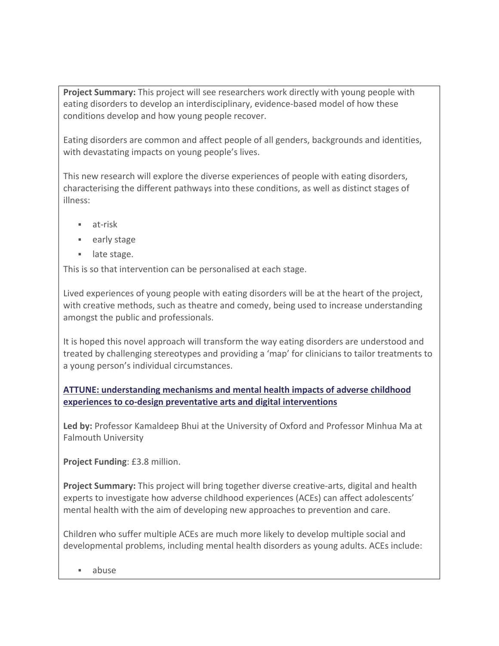**Project Summary:** This project will see researchers work directly with young people with eating disorders to develop an interdisciplinary, evidence-based model of how these conditions develop and how young people recover.

Eating disorders are common and affect people of all genders, backgrounds and identities, with devastating impacts on young people's lives.

This new research will explore the diverse experiences of people with eating disorders, characterising the different pathways into these conditions, as well as distinct stages of illness:

- at-risk
- **early stage**
- **late stage.**

This is so that intervention can be personalised at each stage.

Lived experiences of young people with eating disorders will be at the heart of the project, with creative methods, such as theatre and comedy, being used to increase understanding amongst the public and professionals.

It is hoped this novel approach will transform the way eating disorders are understood and treated by challenging stereotypes and providing a 'map' for clinicians to tailor treatments to a young person's individual circumstances.

**ATTUNE: understanding mechanisms and mental health impacts of adverse childhood experiences to co-design preventative arts and digital interventions**

**Led by:** Professor Kamaldeep Bhui at the University of Oxford and Professor Minhua Ma at Falmouth University

**Project Funding**: £3.8 million.

**Project Summary:** This project will bring together diverse creative-arts, digital and health experts to investigate how adverse childhood experiences (ACEs) can affect adolescents' mental health with the aim of developing new approaches to prevention and care.

Children who suffer multiple ACEs are much more likely to develop multiple social and developmental problems, including mental health disorders as young adults. ACEs include:

abuse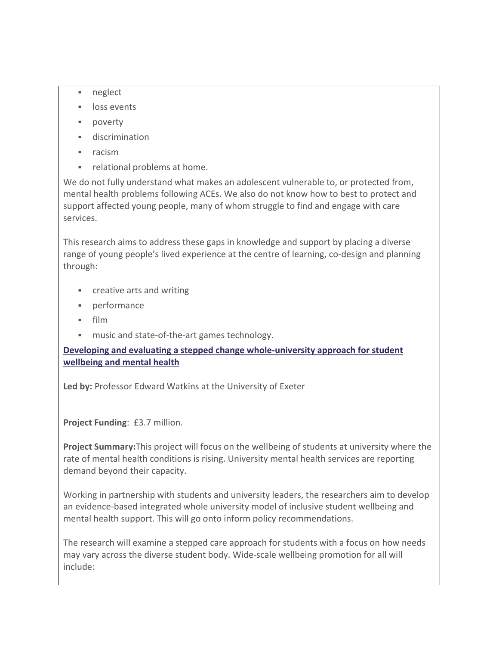- neglect
- **I** loss events
- poverty
- discrimination
- $rac{1}{\pi}$  racism
- **Fig. 2** relational problems at home.

We do not fully understand what makes an adolescent vulnerable to, or protected from, mental health problems following ACEs. We also do not know how to best to protect and support affected young people, many of whom struggle to find and engage with care services.

This research aims to address these gaps in knowledge and support by placing a diverse range of young people's lived experience at the centre of learning, co-design and planning through:

- **EXECUTE:** Creative arts and writing
- performance
- $\blacksquare$  film
- **music and state-of-the-art games technology.**

**Developing and evaluating a stepped change whole-university approach for student wellbeing and mental health**

**Led by:** Professor Edward Watkins at the University of Exeter

**Project Funding**: £3.7 million.

**Project Summary:**This project will focus on the wellbeing of students at university where the rate of mental health conditions is rising. University mental health services are reporting demand beyond their capacity.

Working in partnership with students and university leaders, the researchers aim to develop an evidence-based integrated whole university model of inclusive student wellbeing and mental health support. This will go onto inform policy recommendations.

The research will examine a stepped care approach for students with a focus on how needs may vary across the diverse student body. Wide-scale wellbeing promotion for all will include: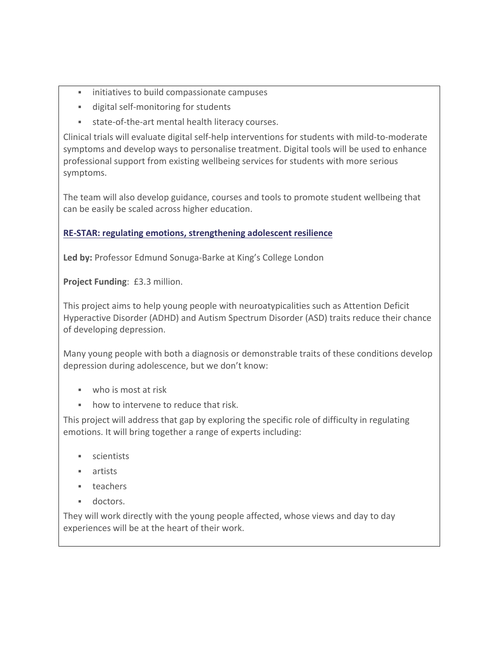- **EXEDENT** initiatives to build compassionate campuses
- digital self-monitoring for students
- state-of-the-art mental health literacy courses.

Clinical trials will evaluate digital self-help interventions for students with mild-to-moderate symptoms and develop ways to personalise treatment. Digital tools will be used to enhance professional support from existing wellbeing services for students with more serious symptoms.

The team will also develop guidance, courses and tools to promote student wellbeing that can be easily be scaled across higher education.

## **RE-STAR: regulating emotions, strengthening adolescent resilience**

**Led by:** Professor Edmund Sonuga-Barke at King's College London

**Project Funding**: £3.3 million.

This project aims to help young people with neuroatypicalities such as Attention Deficit Hyperactive Disorder (ADHD) and Autism Spectrum Disorder (ASD) traits reduce their chance of developing depression.

Many young people with both a diagnosis or demonstrable traits of these conditions develop depression during adolescence, but we don't know:

- who is most at risk
- how to intervene to reduce that risk.

This project will address that gap by exploring the specific role of difficulty in regulating emotions. It will bring together a range of experts including:

- **scientists**
- **artists**
- **teachers**
- **doctors**.

They will work directly with the young people affected, whose views and day to day experiences will be at the heart of their work.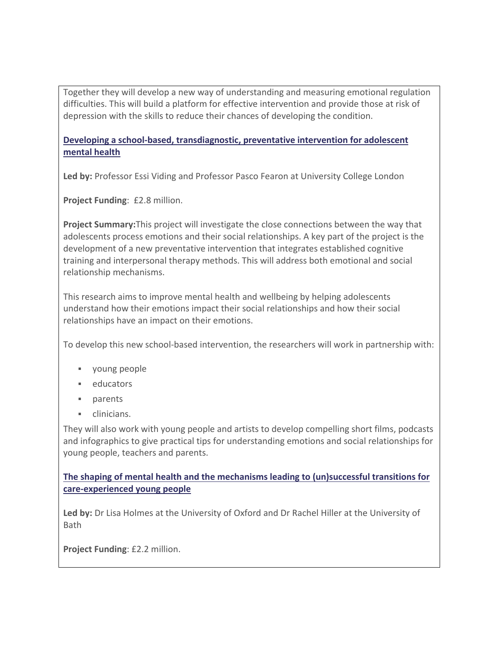Together they will develop a new way of understanding and measuring emotional regulation difficulties. This will build a platform for effective intervention and provide those at risk of depression with the skills to reduce their chances of developing the condition.

## **Developing a school-based, transdiagnostic, preventative intervention for adolescent mental health**

**Led by:** Professor Essi Viding and Professor Pasco Fearon at University College London

**Project Funding**: £2.8 million.

**Project Summary:**This project will investigate the close connections between the way that adolescents process emotions and their social relationships. A key part of the project is the development of a new preventative intervention that integrates established cognitive training and interpersonal therapy methods. This will address both emotional and social relationship mechanisms.

This research aims to improve mental health and wellbeing by helping adolescents understand how their emotions impact their social relationships and how their social relationships have an impact on their emotions.

To develop this new school-based intervention, the researchers will work in partnership with:

- young people
- **educators**
- **parents**
- clinicians.

They will also work with young people and artists to develop compelling short films, podcasts and infographics to give practical tips for understanding emotions and social relationships for young people, teachers and parents.

**The shaping of mental health and the mechanisms leading to (un)successful transitions for care-experienced young people**

**Led by:** Dr Lisa Holmes at the University of Oxford and Dr Rachel Hiller at the University of Bath

**Project Funding**: £2.2 million.